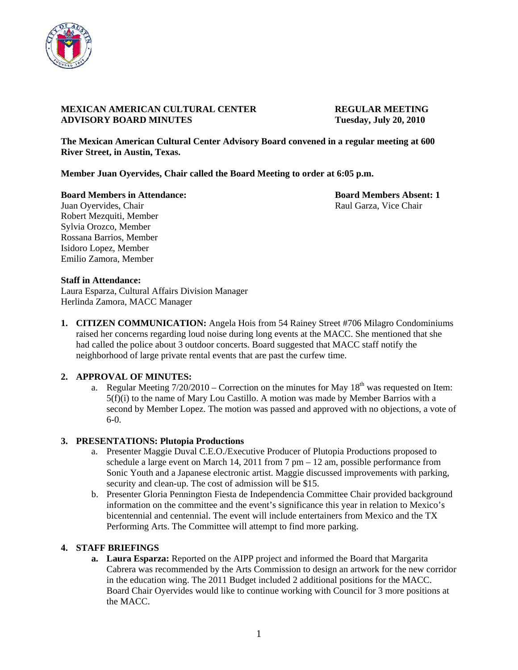

## **MEXICAN AMERICAN CULTURAL CENTER REGULAR MEETING ADVISORY BOARD MINUTES Tuesday, July 20, 2010**

**The Mexican American Cultural Center Advisory Board convened in a regular meeting at 600 River Street, in Austin, Texas.** 

**Member Juan Oyervides, Chair called the Board Meeting to order at 6:05 p.m.** 

**Board Members in Attendance: Board Members Absent: 1** 

Juan Oyervides, Chair Raul Garza, Vice Chair Robert Mezquiti, Member Sylvia Orozco, Member Rossana Barrios, Member Isidoro Lopez, Member Emilio Zamora, Member

## **Staff in Attendance:**

Laura Esparza, Cultural Affairs Division Manager Herlinda Zamora, MACC Manager

**1. CITIZEN COMMUNICATION:** Angela Hois from 54 Rainey Street #706 Milagro Condominiums raised her concerns regarding loud noise during long events at the MACC. She mentioned that she had called the police about 3 outdoor concerts. Board suggested that MACC staff notify the neighborhood of large private rental events that are past the curfew time.

# **2. APPROVAL OF MINUTES:**

a. Regular Meeting  $7/20/2010$  – Correction on the minutes for May  $18<sup>th</sup>$  was requested on Item: 5(f)(i) to the name of Mary Lou Castillo. A motion was made by Member Barrios with a second by Member Lopez. The motion was passed and approved with no objections, a vote of 6-0.

## **3. PRESENTATIONS: Plutopia Productions**

- a. Presenter Maggie Duval C.E.O./Executive Producer of Plutopia Productions proposed to schedule a large event on March 14, 2011 from 7 pm – 12 am, possible performance from Sonic Youth and a Japanese electronic artist. Maggie discussed improvements with parking, security and clean-up. The cost of admission will be \$15.
- b. Presenter Gloria Pennington Fiesta de Independencia Committee Chair provided background information on the committee and the event's significance this year in relation to Mexico's bicentennial and centennial. The event will include entertainers from Mexico and the TX Performing Arts. The Committee will attempt to find more parking.

# **4. STAFF BRIEFINGS**

**a. Laura Esparza:** Reported on the AIPP project and informed the Board that Margarita Cabrera was recommended by the Arts Commission to design an artwork for the new corridor in the education wing. The 2011 Budget included 2 additional positions for the MACC. Board Chair Oyervides would like to continue working with Council for 3 more positions at the MACC.